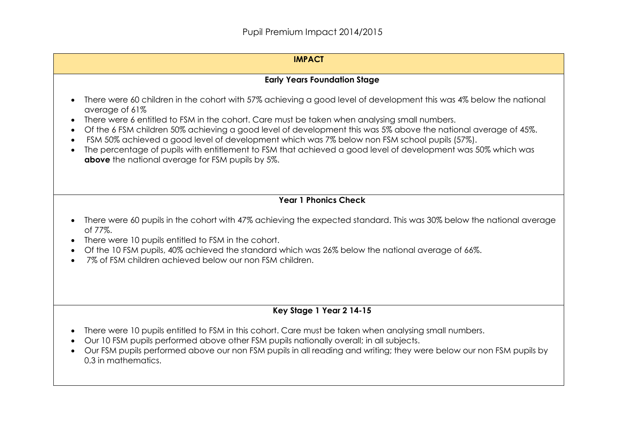#### **IMPACT**

## **Early Years Foundation Stage**

- There were 60 children in the cohort with 57% achieving a good level of development this was 4% below the national average of 61%
- There were 6 entitled to FSM in the cohort. Care must be taken when analysing small numbers.
- Of the 6 FSM children 50% achieving a good level of development this was 5% above the national average of 45%.
- FSM 50% achieved a good level of development which was 7% below non FSM school pupils (57%).
- The percentage of pupils with entitlement to FSM that achieved a good level of development was 50% which was **above** the national average for FSM pupils by 5%.

# **Year 1 Phonics Check**

- There were 60 pupils in the cohort with 47% achieving the expected standard. This was 30% below the national average of 77%.
- There were 10 pupils entitled to FSM in the cohort.
- Of the 10 FSM pupils, 40% achieved the standard which was 26% below the national average of 66%.
- 7% of FSM children achieved below our non FSM children.

# **Key Stage 1 Year 2 14-15**

- There were 10 pupils entitled to FSM in this cohort. Care must be taken when analysing small numbers.
- Our 10 FSM pupils performed above other FSM pupils nationally overall; in all subjects.
- Our FSM pupils performed above our non FSM pupils in all reading and writing; they were below our non FSM pupils by 0.3 in mathematics.